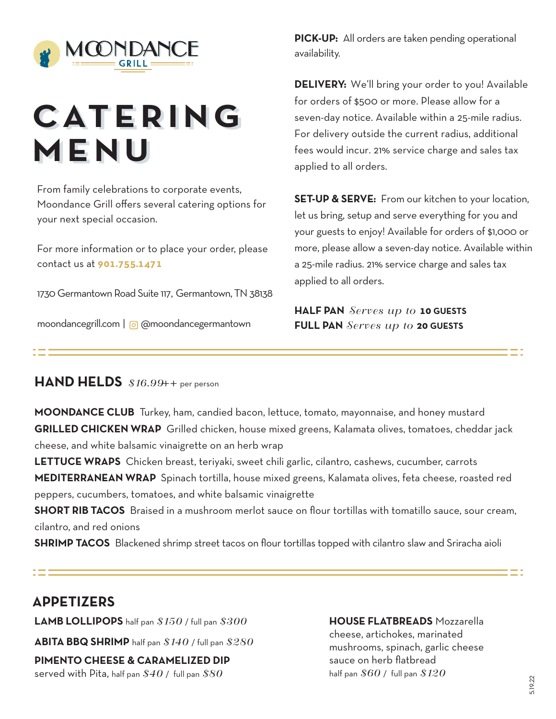

# **CATE RI NG CATE RI NG MENU MENU**

From family celebrations to corporate events, Moondance Grill offers several catering options for your next special occasion.

For more information or to place your order, please contact us at **901.755.1471**

1730 Germantown Road Suite 117, Germantown, TN 38138

moondancegrill.com | @ @moondancegermantown

**PICK-UP:** All orders are taken pending operational availability.

**DELIVERY:** We'll bring your order to you! Available for orders of \$500 or more. Please allow for a seven-day notice. Available within a 25-mile radius. For delivery outside the current radius, additional fees would incur. 21% service charge and sales tax applied to all orders.

**SET-UP & SERVE:** From our kitchen to your location, let us bring, setup and serve everything for you and your guests to enjoy! Available for orders of \$1,000 or more, please allow a seven-day notice. Available within a 25-mile radius. 21% service charge and sales tax applied to all orders.

**HALF PAN** *Serves up to* **10 GUESTS FULL PAN** *Serves up to* **20 GUESTS**

## **HAND HELDS** *\$16.99*++ per person

**MOONDANCE CLUB** Turkey, ham, candied bacon, lettuce, tomato, mayonnaise, and honey mustard **GRILLED CHICKEN WRAP** Grilled chicken, house mixed greens, Kalamata olives, tomatoes, cheddar jack cheese, and white balsamic vinaigrette on an herb wrap

**LETTUCE WRAPS** Chicken breast, teriyaki, sweet chili garlic, cilantro, cashews, cucumber, carrots **MEDITERRANEAN WRAP** Spinach tortilla, house mixed greens, Kalamata olives, feta cheese, roasted red peppers, cucumbers, tomatoes, and white balsamic vinaigrette

**SHORT RIB TACOS** Braised in a mushroom merlot sauce on flour tortillas with tomatillo sauce, sour cream, cilantro, and red onions

**SHRIMP TACOS** Blackened shrimp street tacos on flour tortillas topped with cilantro slaw and Sriracha aioli

## **APPETIZERS**

**LAMB LOLLIPOPS** half pan *\$150* / full pan *\$300*

**ABITA BBQ SHRIMP** half pan *\$140* / full pan *\$280*

**PIMENTO CHEESE & CARAMELIZED DIP** served with Pita, half pan *\$40* / full pan *\$80*

#### **HOUSE FLATBREADS** Mozzarella

cheese, artichokes, marinated mushrooms, spinach, garlic cheese sauce on herb flatbread half pan *\$60* / full pan *\$120*